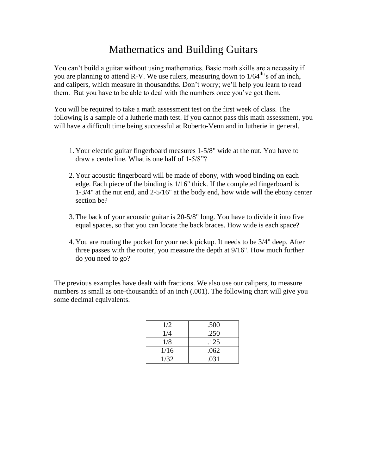## Mathematics and Building Guitars

You can't build a guitar without using mathematics. Basic math skills are a necessity if you are planning to attend R-V. We use rulers, measuring down to 1/64<sup>th</sup>'s of an inch, and calipers, which measure in thousandths. Don't worry; we'll help you learn to read them. But you have to be able to deal with the numbers once you've got them.

You will be required to take a math assessment test on the first week of class. The following is a sample of a lutherie math test. If you cannot pass this math assessment, you will have a difficult time being successful at Roberto-Venn and in lutherie in general.

- 1. Your electric guitar fingerboard measures 1-5/8" wide at the nut. You have to draw a centerline. What is one half of 1-5/8"?
- 2. Your acoustic fingerboard will be made of ebony, with wood binding on each edge. Each piece of the binding is 1/16" thick. If the completed fingerboard is 1-3/4" at the nut end, and 2-5/16" at the body end, how wide will the ebony center section be?
- 3.The back of your acoustic guitar is 20-5/8" long. You have to divide it into five equal spaces, so that you can locate the back braces. How wide is each space?
- 4. You are routing the pocket for your neck pickup. It needs to be 3/4" deep. After three passes with the router, you measure the depth at 9/16". How much further do you need to go?

The previous examples have dealt with fractions. We also use our calipers, to measure numbers as small as one-thousandth of an inch (.001). The following chart will give you some decimal equivalents.

| 1/2  | .500 |
|------|------|
| 1/4  | .250 |
| 1/8  | .125 |
| 1/16 | .062 |
| 1/32 | .031 |